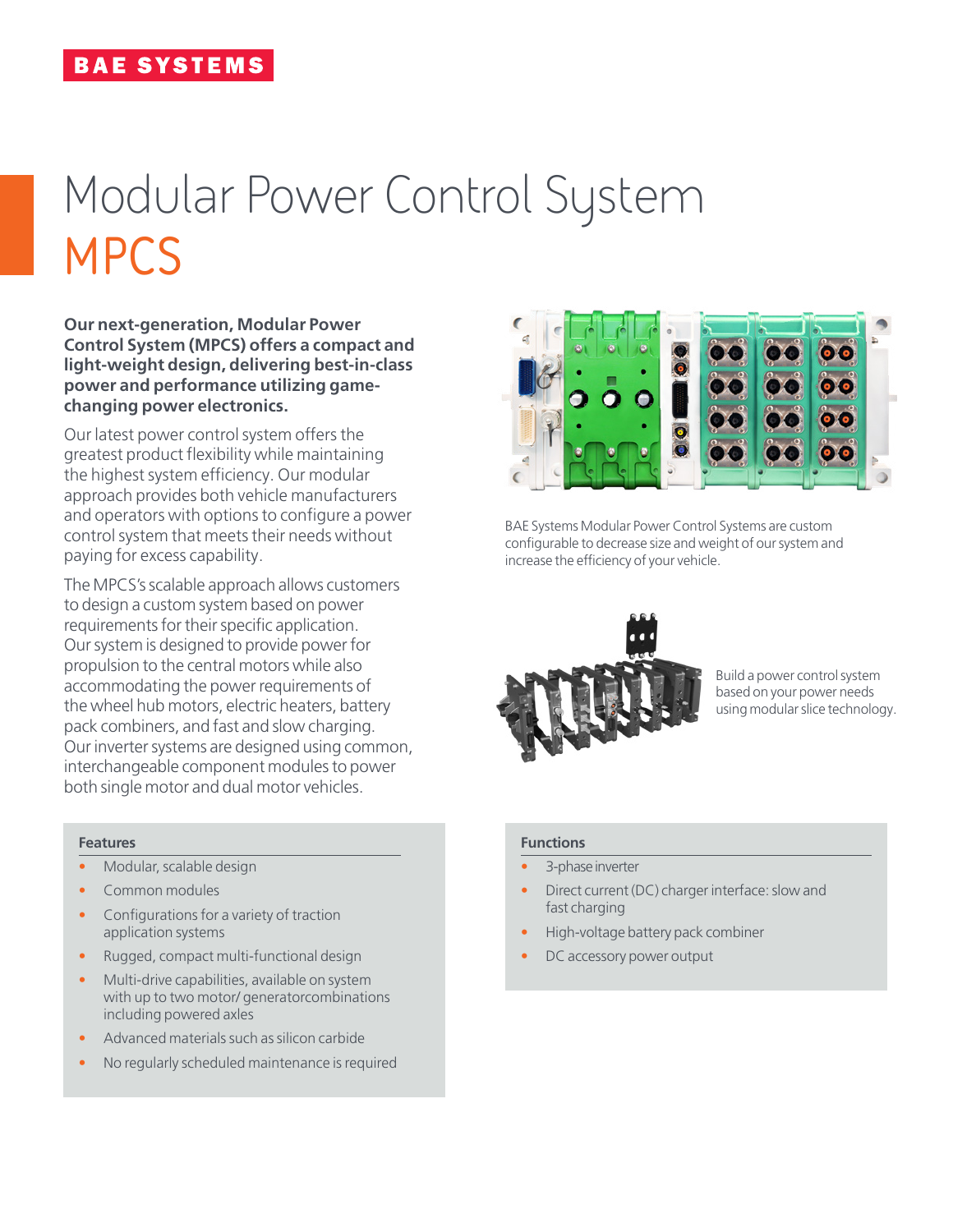# Modular Power Control System **MPCS**

**Our next-generation, Modular Power Control System (MPCS) offers a compact and light-weight design, delivering best-in-class power and performance utilizing gamechanging power electronics.**

Our latest power control system offers the greatest product flexibility while maintaining the highest system efficiency. Our modular approach provides both vehicle manufacturers and operators with options to configure a power control system that meets their needs without paying for excess capability.

The MPCS's scalable approach allows customers to design a custom system based on power requirements for their specific application. Our system is designed to provide power for propulsion to the central motors while also accommodating the power requirements of the wheel hub motors, electric heaters, battery pack combiners, and fast and slow charging. Our inverter systems are designed using common, interchangeable component modules to power both single motor and dual motor vehicles.

#### **Features**

- Modular, scalable design
- Common modules
- Configurations for a variety of traction application systems
- Rugged, compact multi-functional design
- Multi-drive capabilities, available on system with up to two motor/ generatorcombinations including powered axles
- Advanced materials such as silicon carbide
- No regularly scheduled maintenance is required



BAE Systems Modular Power Control Systems are custom configurable to decrease size and weight of our system and increase the efficiency of your vehicle.



Build a power control system based on your power needs using modular slice technology.

#### **Functions**

- 3-phase inverter
- Direct current (DC) charger interface: slow and fast charging
- High-voltage battery pack combiner
- DC accessory power output